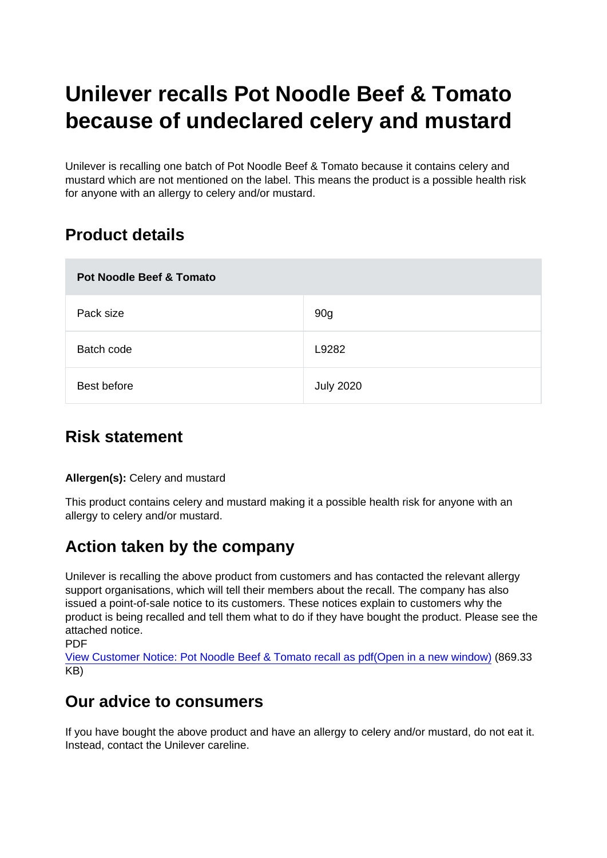# Unilever recalls Pot Noodle Beef & Tomato because of undeclared celery and mustard

Unilever is recalling one batch of Pot Noodle Beef & Tomato because it contains celery and mustard which are not mentioned on the label. This means the product is a possible health risk for anyone with an allergy to celery and/or mustard.

## Product details

| Pot Noodle Beef & Tomato |                  |
|--------------------------|------------------|
| Pack size                | 90g              |
| Batch code               | L9282            |
| Best before              | <b>July 2020</b> |

### Risk statement

Allergen(s): Celery and mustard

This product contains celery and mustard making it a possible health risk for anyone with an allergy to celery and/or mustard.

### Action taken by the company

Unilever is recalling the above product from customers and has contacted the relevant allergy support organisations, which will tell their members about the recall. The company has also issued a point-of-sale notice to its customers. These notices explain to customers why the product is being recalled and tell them what to do if they have bought the product. Please see the attached notice. **PDF** 

[View Customer Notice: Pot Noodle Beef & Tomato recall as pdf\(Open in a new window\)](https://s3-eu-west-1.amazonaws.com/fsa-alerts-files/production/FSA-AA-103-2019/customernotice-potnoodle.pdf) (869.33 KB)

### Our advice to consumers

If you have bought the above product and have an allergy to celery and/or mustard, do not eat it. Instead, contact the Unilever careline.